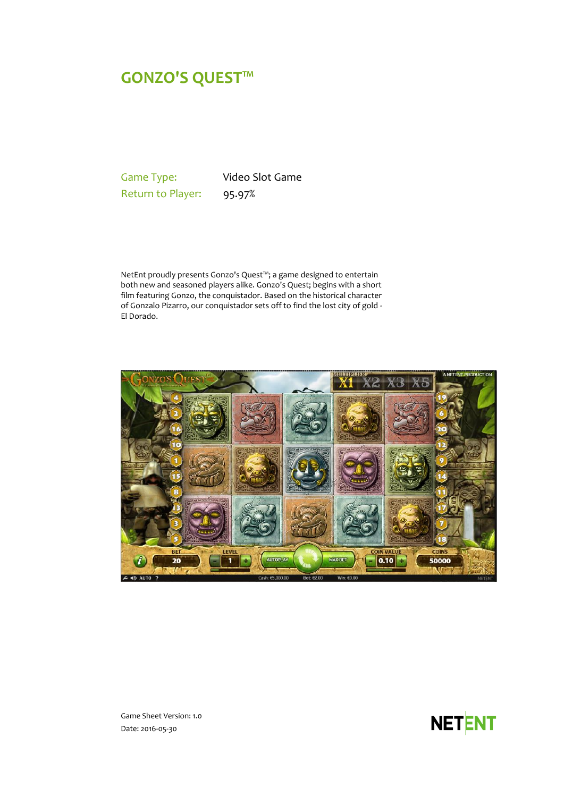# **GONZO'S QUEST™**

Game Type: Video Slot Game Return to Player: 95.97%

NetEnt proudly presents Gonzo's Quest™; a game designed to entertain both new and seasoned players alike. Gonzo's Quest; begins with a short film featuring Gonzo, the conquistador. Based on the historical character of Gonzalo Pizarro, our conquistador sets off to find the lost city of gold - El Dorado.



**NETENT** 

Game Sheet Version: 1.0 Date: 2016-05-30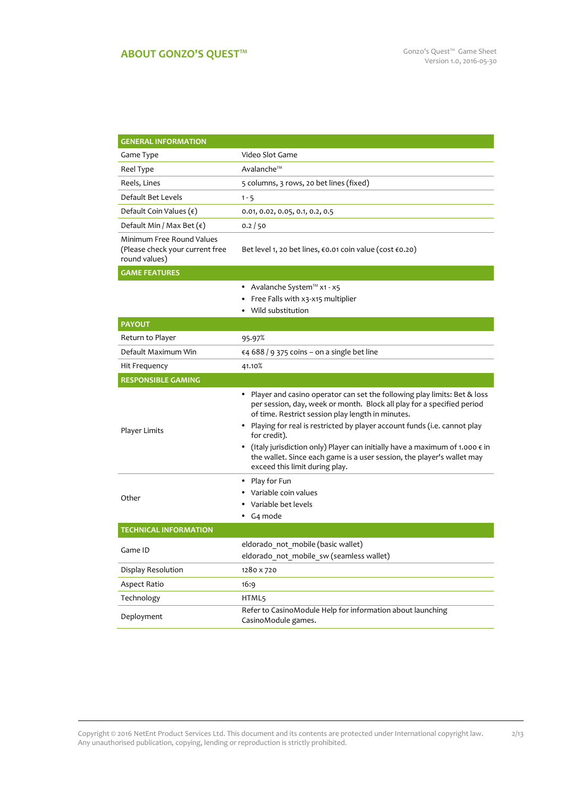# **ABOUT GONZO'S QUEST<sup>™</sup> Game Sheet** Gonzo's Quest™ Game Sheet

| <b>GENERAL INFORMATION</b>                                                    |                                                                                                                                                                                                           |
|-------------------------------------------------------------------------------|-----------------------------------------------------------------------------------------------------------------------------------------------------------------------------------------------------------|
| Game Type                                                                     | Video Slot Game                                                                                                                                                                                           |
| Reel Type                                                                     | Avalanche™                                                                                                                                                                                                |
| Reels, Lines                                                                  | 5 columns, 3 rows, 20 bet lines (fixed)                                                                                                                                                                   |
| Default Bet Levels                                                            | $1 - 5$                                                                                                                                                                                                   |
| Default Coin Values $(\epsilon)$                                              | 0.01, 0.02, 0.05, 0.1, 0.2, 0.5                                                                                                                                                                           |
| Default Min / Max Bet $(\epsilon)$                                            | 0.2 / 50                                                                                                                                                                                                  |
| Minimum Free Round Values<br>(Please check your current free<br>round values) | Bet level 1, 20 bet lines, €0.01 coin value (cost €0.20)                                                                                                                                                  |
| <b>GAME FEATURES</b>                                                          |                                                                                                                                                                                                           |
|                                                                               | ● Avalanche System™ x1 - x5                                                                                                                                                                               |
|                                                                               | Free Falls with x3-x15 multiplier                                                                                                                                                                         |
|                                                                               | Wild substitution                                                                                                                                                                                         |
| <b>PAYOUT</b>                                                                 |                                                                                                                                                                                                           |
| Return to Player                                                              | 95.97%                                                                                                                                                                                                    |
| Default Maximum Win                                                           | €4 688 / 9 375 coins – on a single bet line                                                                                                                                                               |
| Hit Frequency                                                                 | 41.10%                                                                                                                                                                                                    |
| <b>RESPONSIBLE GAMING</b>                                                     |                                                                                                                                                                                                           |
|                                                                               | • Player and casino operator can set the following play limits: Bet & loss<br>per session, day, week or month. Block all play for a specified period<br>of time. Restrict session play length in minutes. |
| Player Limits                                                                 | • Playing for real is restricted by player account funds (i.e. cannot play<br>for credit).                                                                                                                |
|                                                                               | • (Italy jurisdiction only) Player can initially have a maximum of 1.000 $\epsilon$ in<br>the wallet. Since each game is a user session, the player's wallet may<br>exceed this limit during play.        |
|                                                                               | Play for Fun<br>٠                                                                                                                                                                                         |
| Other                                                                         | Variable coin values                                                                                                                                                                                      |
|                                                                               | Variable bet levels                                                                                                                                                                                       |
|                                                                               | G <sub>4</sub> mode                                                                                                                                                                                       |
| <b>TECHNICAL INFORMATION</b>                                                  |                                                                                                                                                                                                           |
| Game ID                                                                       | eldorado not mobile (basic wallet)                                                                                                                                                                        |
|                                                                               | eldorado_not_mobile_sw (seamless wallet)                                                                                                                                                                  |
| Display Resolution                                                            | 1280 x 720                                                                                                                                                                                                |
| Aspect Ratio                                                                  | 16:9                                                                                                                                                                                                      |
| Technology                                                                    | HTML5                                                                                                                                                                                                     |
| Deployment                                                                    | Refer to CasinoModule Help for information about launching<br>CasinoModule games.                                                                                                                         |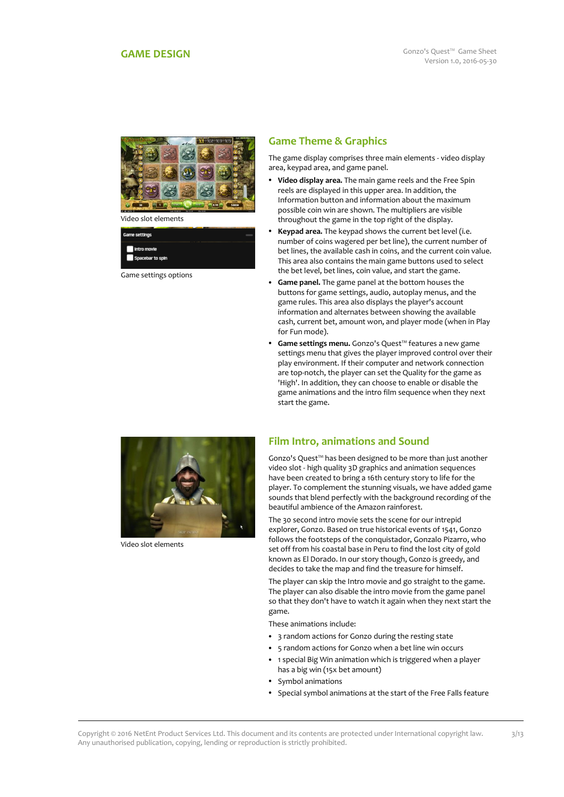

Video slot elements

| Game settings                   |  |  |
|---------------------------------|--|--|
| Intro movie<br>Spacebar to spin |  |  |

Game settings options

# **Game Theme & Graphics**

The game display comprises three main elements - video display area, keypad area, and game panel.

- **Video display area.** The main game reels and the Free Spin reels are displayed in this upper area. In addition, the Information button and information about the maximum possible coin win are shown. The multipliers are visible throughout the game in the top right of the display.
- **Keypad area.** The keypad shows the current bet level (i.e. number of coins wagered per bet line), the current number of bet lines, the available cash in coins, and the current coin value. This area also contains the main game buttons used to select the bet level, bet lines, coin value, and start the game.
- **Game panel.** The game panel at the bottom houses the buttons for game settings, audio, autoplay menus, and the game rules. This area also displays the player's account information and alternates between showing the available cash, current bet, amount won, and player mode (when in Play for Fun mode).
- **Game settings menu.** Gonzo's Quest™ features a new game settings menu that gives the player improved control over their play environment. If their computer and network connection are top-notch, the player can set the Quality for the game as 'High'. In addition, they can choose to enable or disable the game animations and the intro film sequence when they next start the game.



Video slot elements

## **Film Intro, animations and Sound**

Gonzo's Quest™ has been designed to be more than just another video slot - high quality 3D graphics and animation sequences have been created to bring a 16th century story to life for the player. To complement the stunning visuals, we have added game sounds that blend perfectly with the background recording of the beautiful ambience of the Amazon rainforest.

The 30 second intro movie sets the scene for our intrepid explorer, Gonzo. Based on true historical events of 1541, Gonzo follows the footsteps of the conquistador, Gonzalo Pizarro, who set off from his coastal base in Peru to find the lost city of gold known as El Dorado. In our story though, Gonzo is greedy, and decides to take the map and find the treasure for himself.

The player can skip the Intro movie and go straight to the game. The player can also disable the intro movie from the game panel so that they don't have to watch it again when they next start the game.

These animations include:

- 3 random actions for Gonzo during the resting state
- 5 random actions for Gonzo when a bet line win occurs
- 1 special Big Win animation which is triggered when a player has a big win (15x bet amount)
- Symbol animations
- Special symbol animations at the start of the Free Falls feature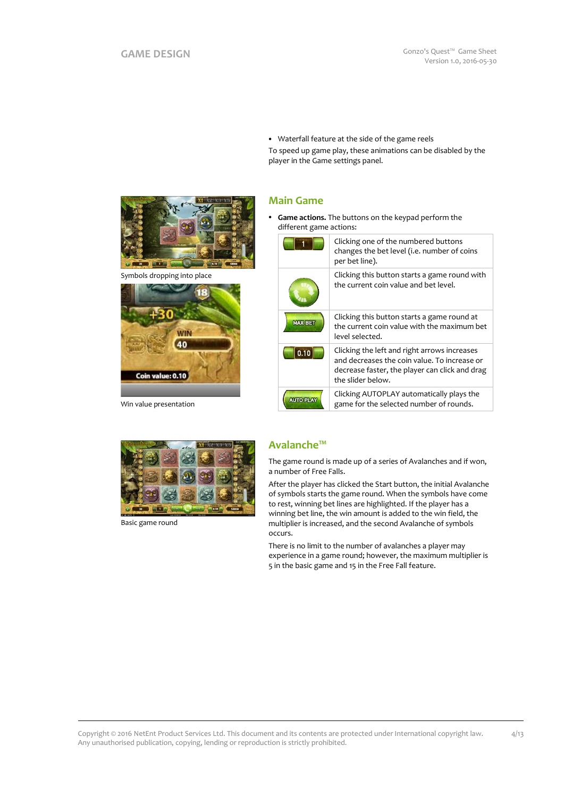Waterfall feature at the side of the game reels To speed up game play, these animations can be disabled by the player in the Game settings panel.

## **Main Game**

 **Game actions.** The buttons on the keypad perform the different game actions:

|                  | Clicking one of the numbered buttons<br>changes the bet level (i.e. number of coins<br>per bet line).                                                               |
|------------------|---------------------------------------------------------------------------------------------------------------------------------------------------------------------|
|                  | Clicking this button starts a game round with<br>the current coin value and bet level.                                                                              |
| <b>MAX BET</b>   | Clicking this button starts a game round at<br>the current coin value with the maximum bet<br>level selected.                                                       |
| 0.10             | Clicking the left and right arrows increases<br>and decreases the coin value. To increase or<br>decrease faster, the player can click and drag<br>the slider below. |
| <b>AUTO PLAY</b> | Clicking AUTOPLAY automatically plays the<br>game for the selected number of rounds.                                                                                |



Symbols dropping into place



Win value presentation



Basic game round

# **Avalanche™**

The game round is made up of a series of Avalanches and if won, a number of Free Falls.

After the player has clicked the Start button, the initial Avalanche of symbols starts the game round. When the symbols have come to rest, winning bet lines are highlighted. If the player has a winning bet line, the win amount is added to the win field, the multiplier is increased, and the second Avalanche of symbols occurs.

There is no limit to the number of avalanches a player may experience in a game round; however, the maximum multiplier is 5 in the basic game and 15 in the Free Fall feature.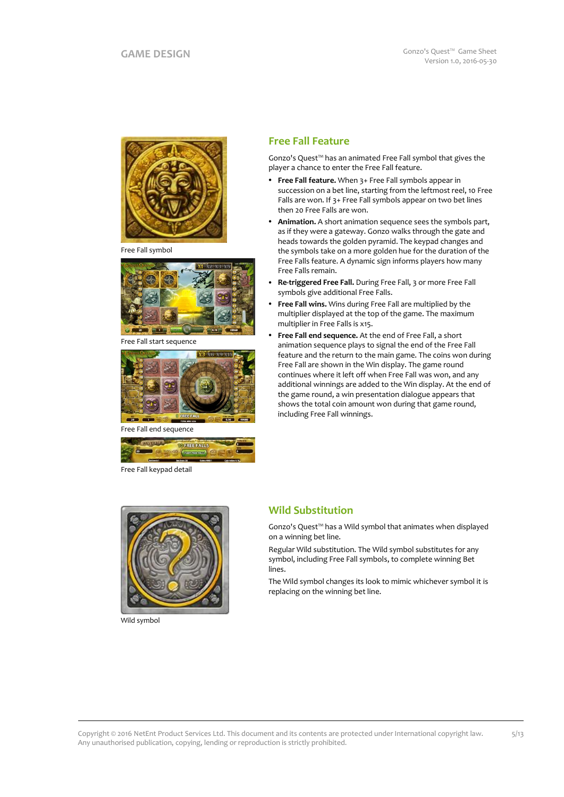

Free Fall symbol



Free Fall start sequence



Free Fall end sequence



Free Fall keypad detail

# **Free Fall Feature**

Gonzo's Quest™ has an animated Free Fall symbol that gives the player a chance to enter the Free Fall feature.

- **Free Fall feature.** When 3+ Free Fall symbols appear in succession on a bet line, starting from the leftmost reel, 10 Free Falls are won. If 3+ Free Fall symbols appear on two bet lines then 20 Free Falls are won.
- **Animation.** A short animation sequence sees the symbols part, as if they were a gateway. Gonzo walks through the gate and heads towards the golden pyramid. The keypad changes and the symbols take on a more golden hue for the duration of the Free Falls feature. A dynamic sign informs players how many Free Falls remain.
- **Re-triggered Free Fall.** During Free Fall, 3 or more Free Fall symbols give additional Free Falls.
- **Free Fall wins.** Wins during Free Fall are multiplied by the multiplier displayed at the top of the game. The maximum multiplier in Free Falls is x15.
- **Free Fall end sequence.** At the end of Free Fall, a short animation sequence plays to signal the end of the Free Fall feature and the return to the main game. The coins won during Free Fall are shown in the Win display. The game round continues where it left off when Free Fall was won, and any additional winnings are added to the Win display. At the end of the game round, a win presentation dialogue appears that shows the total coin amount won during that game round, including Free Fall winnings.



Wild symbol

## **Wild Substitution**

Gonzo's Quest™ has a Wild symbol that animates when displayed on a winning bet line.

Regular Wild substitution. The Wild symbol substitutes for any symbol, including Free Fall symbols, to complete winning Bet lines.

The Wild symbol changes its look to mimic whichever symbol it is replacing on the winning bet line.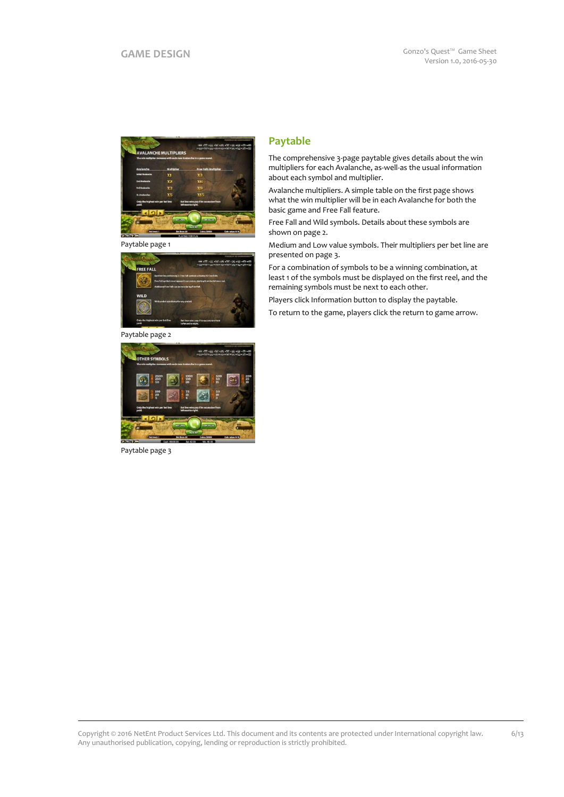

Paytable page 1



Paytable page 2



Paytable page 3

# **Paytable**

The comprehensive 3-page paytable gives details about the win multipliers for each Avalanche, as-well-as the usual information about each symbol and multiplier.

Avalanche multipliers. A simple table on the first page shows what the win multiplier will be in each Avalanche for both the basic game and Free Fall feature.

Free Fall and Wild symbols. Details about these symbols are shown on page 2.

Medium and Low value symbols. Their multipliers per bet line are presented on page 3.

For a combination of symbols to be a winning combination, at least 1 of the symbols must be displayed on the first reel, and the remaining symbols must be next to each other.

Players click Information button to display the paytable.

To return to the game, players click the return to game arrow.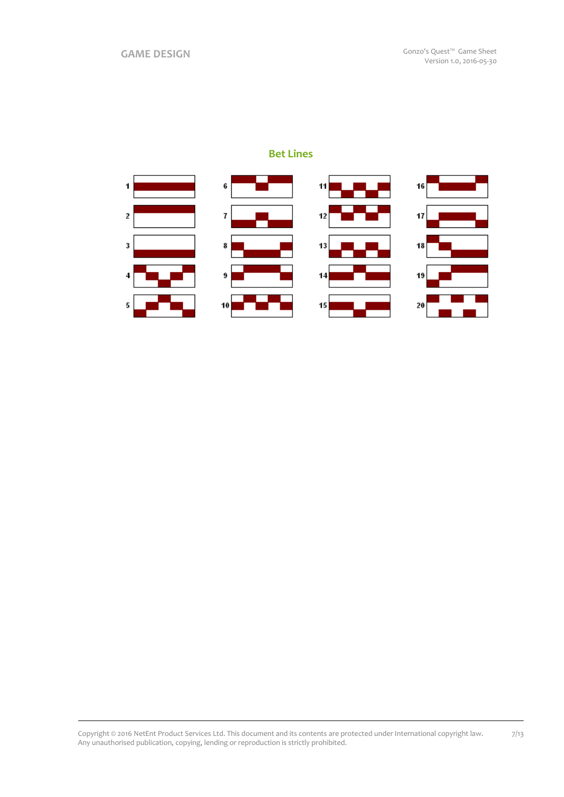# **Bet Lines**

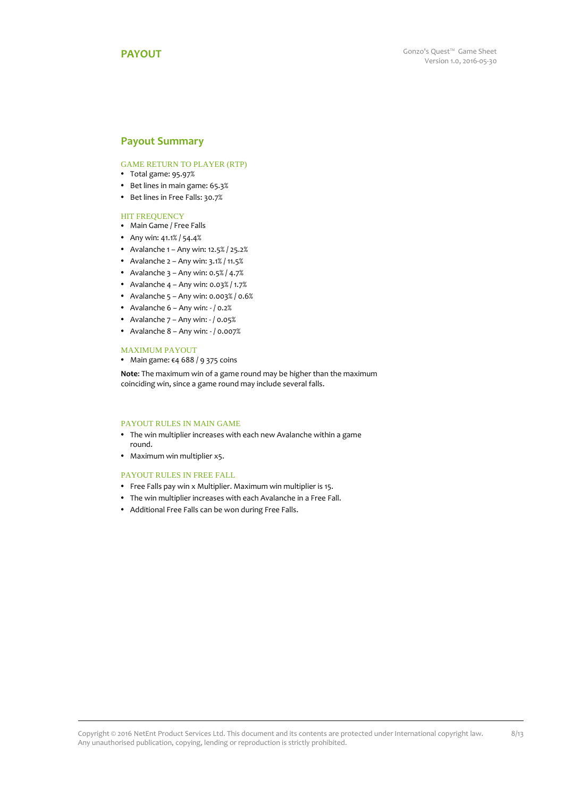### **Payout Summary**

### GAME RETURN TO PLAYER (RTP)

- Total game: 95.97%
- Bet lines in main game: 65.3%
- Bet lines in Free Falls: 30.7%

### HIT FREQUENCY

- Main Game / Free Falls
- Any win: 41.1% / 54.4%
- Avalanche  $1 -$  Any win:  $12.5\frac{8}{25.2\%}$
- Avalanche  $2 Any win:  $3.1\% / 11.5\%$$
- Avalanche  $3 -$  Any win: 0.5% / 4.7%
- Avalanche  $4 Any win: 0.03% / 1.7%$
- Avalanche  $5 -$  Any win: 0.003% / 0.6%
- Avalanche  $6 -$ Any win:  $-$  / 0.2%
- Avalanche  $7 -$  Any win:  $/ 0.05\%$
- Avalanche  $8 -$  Any win:  $-$  / 0.007%

#### MAXIMUM PAYOUT

Main game: €4 688 / 9 375 coins

**Note**: The maximum win of a game round may be higher than the maximum coinciding win, since a game round may include several falls.

### PAYOUT RULES IN MAIN GAME

- The win multiplier increases with each new Avalanche within a game round.
- Maximum win multiplier x5.

#### PAYOUT RULES IN FREE FALL

- Free Falls pay win x Multiplier. Maximum win multiplier is 15.
- The win multiplier increases with each Avalanche in a Free Fall.
- Additional Free Falls can be won during Free Falls.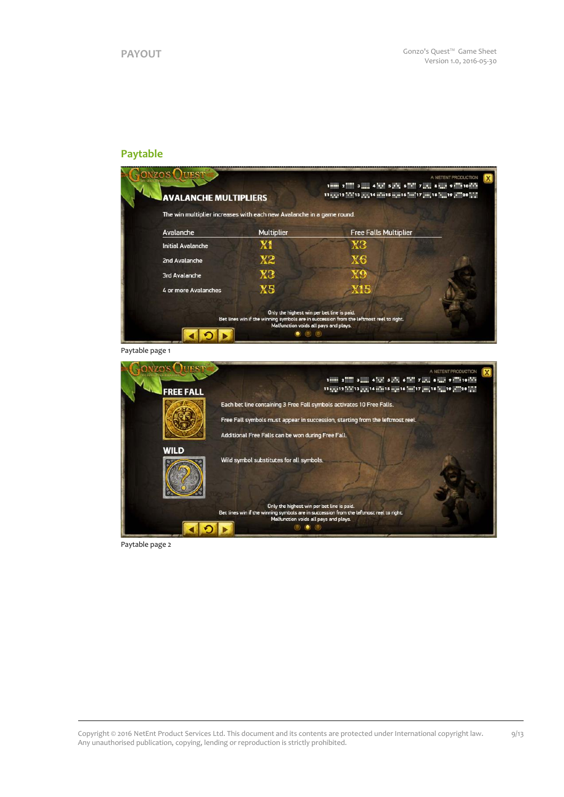# **Paytable**



Paytable page 1

| <b>FREE FALL</b> | A NETENT PRODUCTION<br>1 mm 2 2 3 mm 4 kg 5 pm 6 3 7 mm 8 mm 9 10 10 10 h<br>11 a = 12 a + 13 a = 14 m = 15 m = 16 m = 17 m = 18 m = 19 = 20 = 20                              |
|------------------|--------------------------------------------------------------------------------------------------------------------------------------------------------------------------------|
|                  | Each bet line containing 3 Free Fall symbols activates 10 Free Falls.                                                                                                          |
|                  | Free Fall symbols must appear in succession, starting from the leftmost reel.                                                                                                  |
|                  | Additional Free Falls can be won during Free Fall.                                                                                                                             |
| <b>WILD</b>      |                                                                                                                                                                                |
|                  | Wild symbol substitutes for all symbols.                                                                                                                                       |
|                  | Only the highest win per bet line is paid.<br>Bet lines win if the winning symbols are in succession from the leftmost reel to right.<br>Malfunction voids all pays and plays. |

Paytable page 2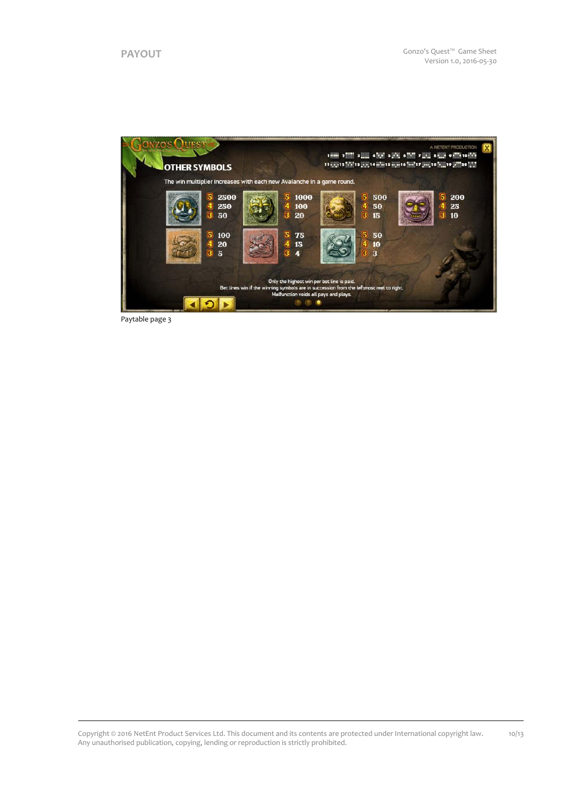

Paytable page 3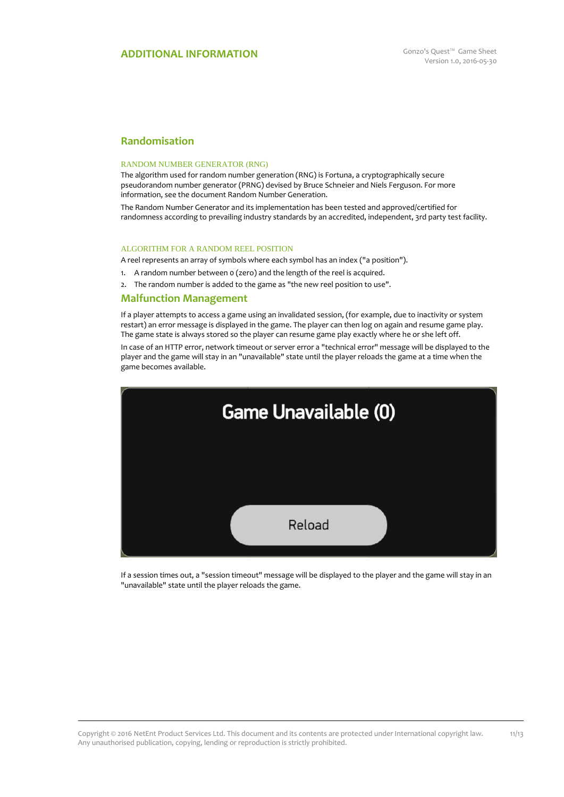# **Randomisation**

#### RANDOM NUMBER GENERATOR (RNG)

The algorithm used for random number generation (RNG) is Fortuna, a cryptographically secure pseudorandom number generator (PRNG) devised by Bruce Schneier and Niels Ferguson. For more information, see the document Random Number Generation.

The Random Number Generator and its implementation has been tested and approved/certified for randomness according to prevailing industry standards by an accredited, independent, 3rd party test facility.

#### ALGORITHM FOR A RANDOM REEL POSITION

A reel represents an array of symbols where each symbol has an index ("a position").

- 1. A random number between 0 (zero) and the length of the reel is acquired.
- 2. The random number is added to the game as "the new reel position to use".

### **Malfunction Management**

If a player attempts to access a game using an invalidated session, (for example, due to inactivity or system restart) an error message is displayed in the game. The player can then log on again and resume game play. The game state is always stored so the player can resume game play exactly where he or she left off.

In case of an HTTP error, network timeout or server error a "technical error" message will be displayed to the player and the game will stay in an "unavailable" state until the player reloads the game at a time when the game becomes available.



If a session times out, a "session timeout" message will be displayed to the player and the game will stay in an "unavailable" state until the player reloads the game.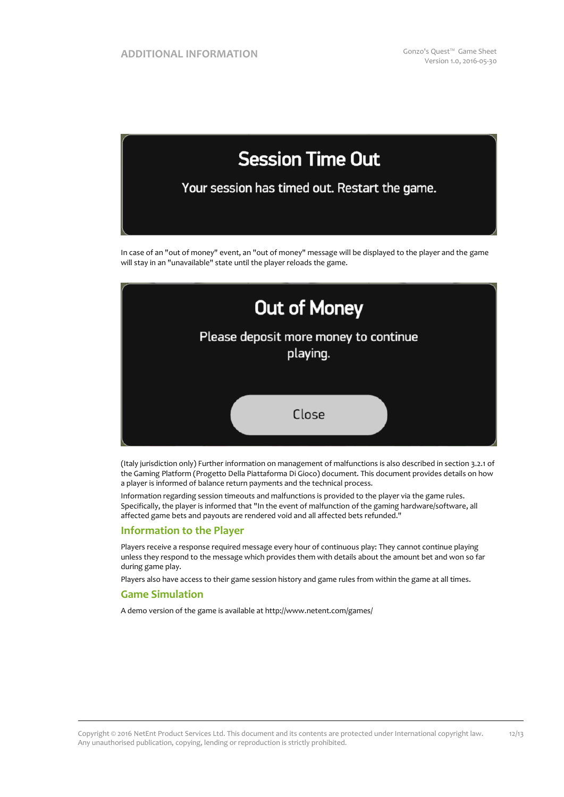

In case of an "out of money" event, an "out of money" message will be displayed to the player and the game will stay in an "unavailable" state until the player reloads the game.



(Italy jurisdiction only) Further information on management of malfunctions is also described in section 3.2.1 of the Gaming Platform (Progetto Della Piattaforma Di Gioco) document. This document provides details on how a player is informed of balance return payments and the technical process.

Information regarding session timeouts and malfunctions is provided to the player via the game rules. Specifically, the player is informed that "In the event of malfunction of the gaming hardware/software, all affected game bets and payouts are rendered void and all affected bets refunded."

### **Information to the Player**

Players receive a response required message every hour of continuous play: They cannot continue playing unless they respond to the message which provides them with details about the amount bet and won so far during game play.

Players also have access to their game session history and game rules from within the game at all times.

### **Game Simulation**

A demo version of the game is available at http://www.netent.com/games/